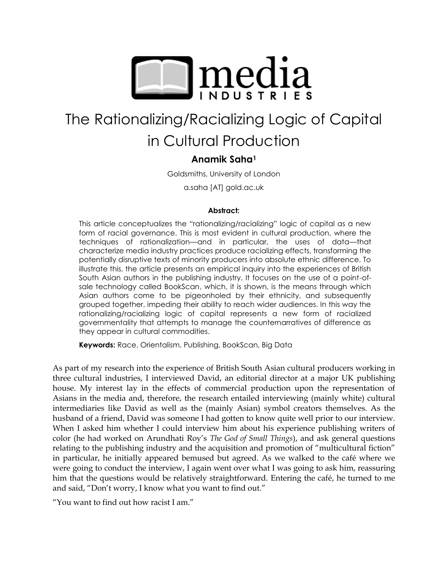

# The Rationalizing/Racializing Logic of Capital

# in Cultural Production

# **Anamik Saha<sup>1</sup>**

Goldsmiths, University of London

a.saha [AT] gold.ac.uk

#### **Abstract:**

This article conceptualizes the "rationalizing/racializing" logic of capital as a new form of racial governance. This is most evident in cultural production, where the techniques of rationalization—and in particular, the uses of data—that characterize media industry practices produce racializing effects, transforming the potentially disruptive texts of minority producers into absolute ethnic difference. To illustrate this, the article presents an empirical inquiry into the experiences of British South Asian authors in the publishing industry. It focuses on the use of a point-ofsale technology called BookScan, which, it is shown, is the means through which Asian authors come to be pigeonholed by their ethnicity, and subsequently grouped together, impeding their ability to reach wider audiences. In this way the rationalizing/racializing logic of capital represents a new form of racialized governmentality that attempts to manage the counternarratives of difference as they appear in cultural commodities.

**Keywords:** Race, Orientalism, Publishing, BookScan, Big Data

As part of my research into the experience of British South Asian cultural producers working in three cultural industries, I interviewed David, an editorial director at a major UK publishing house. My interest lay in the effects of commercial production upon the representation of Asians in the media and, therefore, the research entailed interviewing (mainly white) cultural intermediaries like David as well as the (mainly Asian) symbol creators themselves. As the husband of a friend, David was someone I had gotten to know quite well prior to our interview. When I asked him whether I could interview him about his experience publishing writers of color (he had worked on Arundhati Roy's *The God of Small Things*), and ask general questions relating to the publishing industry and the acquisition and promotion of "multicultural fiction" in particular, he initially appeared bemused but agreed. As we walked to the café where we were going to conduct the interview, I again went over what I was going to ask him, reassuring him that the questions would be relatively straightforward. Entering the café, he turned to me and said, "Don't worry, I know what you want to find out."

"You want to find out how racist I am."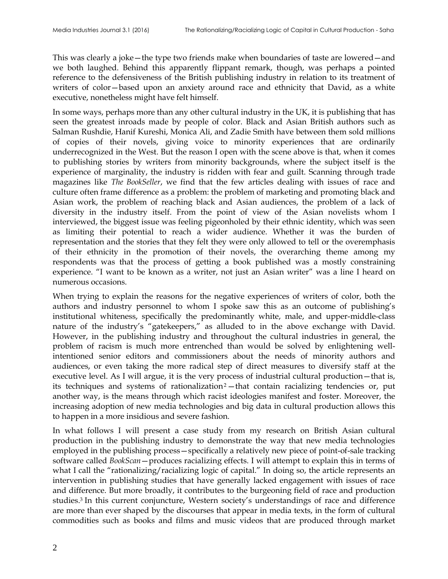This was clearly a joke—the type two friends make when boundaries of taste are lowered—and we both laughed. Behind this apparently flippant remark, though, was perhaps a pointed reference to the defensiveness of the British publishing industry in relation to its treatment of writers of color—based upon an anxiety around race and ethnicity that David, as a white executive, nonetheless might have felt himself.

In some ways, perhaps more than any other cultural industry in the UK, it is publishing that has seen the greatest inroads made by people of color. Black and Asian British authors such as Salman Rushdie, Hanif Kureshi, Monica Ali, and Zadie Smith have between them sold millions of copies of their novels, giving voice to minority experiences that are ordinarily underrecognized in the West. But the reason I open with the scene above is that, when it comes to publishing stories by writers from minority backgrounds, where the subject itself is the experience of marginality, the industry is ridden with fear and guilt. Scanning through trade magazines like *The BookSeller*, we find that the few articles dealing with issues of race and culture often frame difference as a problem: the problem of marketing and promoting black and Asian work, the problem of reaching black and Asian audiences, the problem of a lack of diversity in the industry itself. From the point of view of the Asian novelists whom I interviewed, the biggest issue was feeling pigeonholed by their ethnic identity, which was seen as limiting their potential to reach a wider audience. Whether it was the burden of representation and the stories that they felt they were only allowed to tell or the overemphasis of their ethnicity in the promotion of their novels, the overarching theme among my respondents was that the process of getting a book published was a mostly constraining experience. "I want to be known as a writer, not just an Asian writer" was a line I heard on numerous occasions.

When trying to explain the reasons for the negative experiences of writers of color, both the authors and industry personnel to whom I spoke saw this as an outcome of publishing's institutional whiteness, specifically the predominantly white, male, and upper-middle-class nature of the industry's "gatekeepers," as alluded to in the above exchange with David. However, in the publishing industry and throughout the cultural industries in general, the problem of racism is much more entrenched than would be solved by enlightening wellintentioned senior editors and commissioners about the needs of minority authors and audiences, or even taking the more radical step of direct measures to diversify staff at the executive level. As I will argue, it is the very process of industrial cultural production—that is, its techniques and systems of rationalization<sup>2</sup>-that contain racializing tendencies or, put another way, is the means through which racist ideologies manifest and foster. Moreover, the increasing adoption of new media technologies and big data in cultural production allows this to happen in a more insidious and severe fashion.

In what follows I will present a case study from my research on British Asian cultural production in the publishing industry to demonstrate the way that new media technologies employed in the publishing process—specifically a relatively new piece of point-of-sale tracking software called *BookScan*—produces racializing effects. I will attempt to explain this in terms of what I call the "rationalizing/racializing logic of capital." In doing so, the article represents an intervention in publishing studies that have generally lacked engagement with issues of race and difference. But more broadly, it contributes to the burgeoning field of race and production studies.<sup>3</sup> In this current conjuncture, Western society's understandings of race and difference are more than ever shaped by the discourses that appear in media texts, in the form of cultural commodities such as books and films and music videos that are produced through market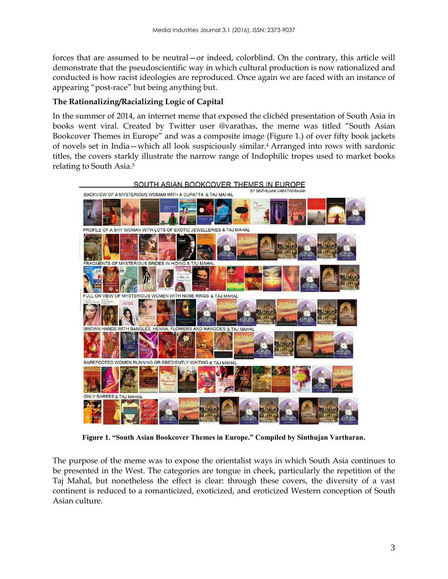forces that are assumed to be neutral—or indeed, colorblind. On the contrary, this article will demonstrate that the pseudoscientific way in which cultural production is now rationalized and conducted is how racist ideologies are reproduced. Once again we are faced with an instance of appearing "post-race" but being anything but.

#### **The Rationalizing/Racializing Logic of Capital**

In the summer of 2014, an internet meme that exposed the clichéd presentation of South Asia in books went viral. Created by Twitter user @varathas, the meme was titled "South Asian Bookcover Themes in Europe" and was a composite image (Figure 1.) of over fifty book jackets of novels set in India—which all look suspiciously similar.<sup>4</sup> Arranged into rows with sardonic titles, the covers starkly illustrate the narrow range of Indophilic tropes used to market books relating to South Asia.<sup>5</sup>



**Figure 1. "South Asian Bookcover Themes in Europe." Compiled by Sinthujan Vartharan.**

The purpose of the meme was to expose the orientalist ways in which South Asia continues to be presented in the West. The categories are tongue in cheek, particularly the repetition of the Taj Mahal, but nonetheless the effect is clear: through these covers, the diversity of a vast continent is reduced to a romanticized, exoticized, and eroticized Western conception of South Asian culture.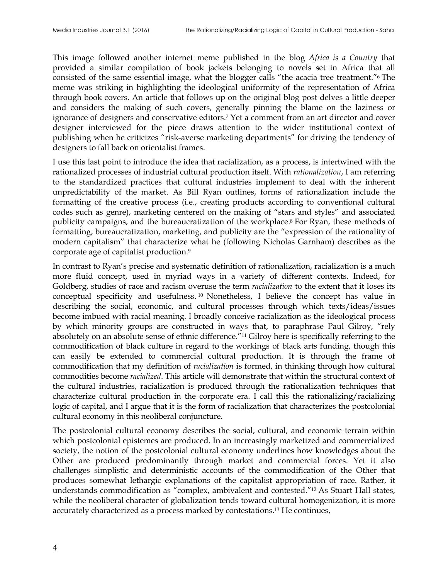This image followed another internet meme published in the blog *Africa is a Country* that provided a similar compilation of book jackets belonging to novels set in Africa that all consisted of the same essential image, what the blogger calls "the acacia tree treatment."<sup>6</sup> The meme was striking in highlighting the ideological uniformity of the representation of Africa through book covers. An article that follows up on the original blog post delves a little deeper and considers the making of such covers, generally pinning the blame on the laziness or ignorance of designers and conservative editors.<sup>7</sup> Yet a comment from an art director and cover designer interviewed for the piece draws attention to the wider institutional context of publishing when he criticizes "risk-averse marketing departments" for driving the tendency of designers to fall back on orientalist frames.

I use this last point to introduce the idea that racialization, as a process, is intertwined with the rationalized processes of industrial cultural production itself. With *rationalization*, I am referring to the standardized practices that cultural industries implement to deal with the inherent unpredictability of the market. As Bill Ryan outlines, forms of rationalization include the formatting of the creative process (i.e., creating products according to conventional cultural codes such as genre), marketing centered on the making of "stars and styles" and associated publicity campaigns, and the bureaucratization of the workplace.<sup>8</sup> For Ryan, these methods of formatting, bureaucratization, marketing, and publicity are the "expression of the rationality of modern capitalism" that characterize what he (following Nicholas Garnham) describes as the corporate age of capitalist production.<sup>9</sup>

In contrast to Ryan's precise and systematic definition of rationalization, racialization is a much more fluid concept, used in myriad ways in a variety of different contexts. Indeed, for Goldberg, studies of race and racism overuse the term *racialization* to the extent that it loses its conceptual specificity and usefulness. <sup>10</sup> Nonetheless, I believe the concept has value in describing the social, economic, and cultural processes through which texts/ideas/issues become imbued with racial meaning. I broadly conceive racialization as the ideological process by which minority groups are constructed in ways that, to paraphrase Paul Gilroy, "rely absolutely on an absolute sense of ethnic difference."<sup>11</sup> Gilroy here is specifically referring to the commodification of black culture in regard to the workings of black arts funding, though this can easily be extended to commercial cultural production. It is through the frame of commodification that my definition of *racialization* is formed, in thinking through how cultural commodities become *racialized*. This article will demonstrate that within the structural context of the cultural industries, racialization is produced through the rationalization techniques that characterize cultural production in the corporate era. I call this the rationalizing/racializing logic of capital, and I argue that it is the form of racialization that characterizes the postcolonial cultural economy in this neoliberal conjuncture.

The postcolonial cultural economy describes the social, cultural, and economic terrain within which postcolonial epistemes are produced. In an increasingly marketized and commercialized society, the notion of the postcolonial cultural economy underlines how knowledges about the Other are produced predominantly through market and commercial forces. Yet it also challenges simplistic and deterministic accounts of the commodification of the Other that produces somewhat lethargic explanations of the capitalist appropriation of race. Rather, it understands commodification as "complex, ambivalent and contested."<sup>12</sup> As Stuart Hall states, while the neoliberal character of globalization tends toward cultural homogenization, it is more accurately characterized as a process marked by contestations.<sup>13</sup> He continues,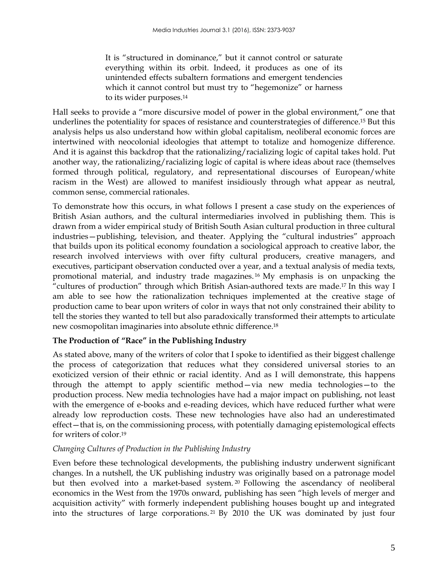It is "structured in dominance," but it cannot control or saturate everything within its orbit. Indeed, it produces as one of its unintended effects subaltern formations and emergent tendencies which it cannot control but must try to "hegemonize" or harness to its wider purposes.<sup>14</sup>

Hall seeks to provide a "more discursive model of power in the global environment," one that underlines the potentiality for spaces of resistance and counterstrategies of difference.<sup>15</sup> But this analysis helps us also understand how within global capitalism, neoliberal economic forces are intertwined with neocolonial ideologies that attempt to totalize and homogenize difference. And it is against this backdrop that the rationalizing/racializing logic of capital takes hold. Put another way, the rationalizing/racializing logic of capital is where ideas about race (themselves formed through political, regulatory, and representational discourses of European/white racism in the West) are allowed to manifest insidiously through what appear as neutral, common sense, commercial rationales.

To demonstrate how this occurs, in what follows I present a case study on the experiences of British Asian authors, and the cultural intermediaries involved in publishing them. This is drawn from a wider empirical study of British South Asian cultural production in three cultural industries—publishing, television, and theater. Applying the "cultural industries" approach that builds upon its political economy foundation a sociological approach to creative labor, the research involved interviews with over fifty cultural producers, creative managers, and executives, participant observation conducted over a year, and a textual analysis of media texts, promotional material, and industry trade magazines. <sup>16</sup> My emphasis is on unpacking the "cultures of production" through which British Asian-authored texts are made.<sup>17</sup> In this way I am able to see how the rationalization techniques implemented at the creative stage of production came to bear upon writers of color in ways that not only constrained their ability to tell the stories they wanted to tell but also paradoxically transformed their attempts to articulate new cosmopolitan imaginaries into absolute ethnic difference.<sup>18</sup>

## **The Production of "Race" in the Publishing Industry**

As stated above, many of the writers of color that I spoke to identified as their biggest challenge the process of categorization that reduces what they considered universal stories to an exoticized version of their ethnic or racial identity. And as I will demonstrate, this happens through the attempt to apply scientific method—via new media technologies—to the production process. New media technologies have had a major impact on publishing, not least with the emergence of e-books and e-reading devices, which have reduced further what were already low reproduction costs. These new technologies have also had an underestimated effect—that is, on the commissioning process, with potentially damaging epistemological effects for writers of color.<sup>19</sup>

## *Changing Cultures of Production in the Publishing Industry*

Even before these technological developments, the publishing industry underwent significant changes. In a nutshell, the UK publishing industry was originally based on a patronage model but then evolved into a market-based system. <sup>20</sup> Following the ascendancy of neoliberal economics in the West from the 1970s onward, publishing has seen "high levels of merger and acquisition activity" with formerly independent publishing houses bought up and integrated into the structures of large corporations. <sup>21</sup> By 2010 the UK was dominated by just four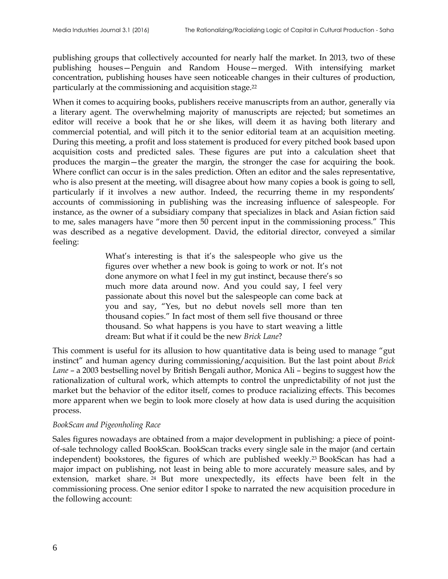publishing groups that collectively accounted for nearly half the market. In 2013, two of these publishing houses—Penguin and Random House—merged. With intensifying market concentration, publishing houses have seen noticeable changes in their cultures of production, particularly at the commissioning and acquisition stage.<sup>22</sup>

When it comes to acquiring books, publishers receive manuscripts from an author, generally via a literary agent. The overwhelming majority of manuscripts are rejected; but sometimes an editor will receive a book that he or she likes, will deem it as having both literary and commercial potential, and will pitch it to the senior editorial team at an acquisition meeting. During this meeting, a profit and loss statement is produced for every pitched book based upon acquisition costs and predicted sales. These figures are put into a calculation sheet that produces the margin—the greater the margin, the stronger the case for acquiring the book. Where conflict can occur is in the sales prediction. Often an editor and the sales representative, who is also present at the meeting, will disagree about how many copies a book is going to sell, particularly if it involves a new author. Indeed, the recurring theme in my respondents' accounts of commissioning in publishing was the increasing influence of salespeople. For instance, as the owner of a subsidiary company that specializes in black and Asian fiction said to me, sales managers have "more then 50 percent input in the commissioning process." This was described as a negative development. David, the editorial director, conveyed a similar feeling:

> What's interesting is that it's the salespeople who give us the figures over whether a new book is going to work or not. It's not done anymore on what I feel in my gut instinct, because there's so much more data around now. And you could say, I feel very passionate about this novel but the salespeople can come back at you and say, "Yes, but no debut novels sell more than ten thousand copies." In fact most of them sell five thousand or three thousand. So what happens is you have to start weaving a little dream: But what if it could be the new *Brick Lane*?

This comment is useful for its allusion to how quantitative data is being used to manage "gut instinct" and human agency during commissioning/acquisition. But the last point about *Brick Lane* – a 2003 bestselling novel by British Bengali author, Monica Ali – begins to suggest how the rationalization of cultural work, which attempts to control the unpredictability of not just the market but the behavior of the editor itself, comes to produce racializing effects. This becomes more apparent when we begin to look more closely at how data is used during the acquisition process.

#### *BookScan and Pigeonholing Race*

Sales figures nowadays are obtained from a major development in publishing: a piece of pointof-sale technology called BookScan. BookScan tracks every single sale in the major (and certain independent) bookstores, the figures of which are published weekly.<sup>23</sup> BookScan has had a major impact on publishing, not least in being able to more accurately measure sales, and by extension, market share. <sup>24</sup> But more unexpectedly, its effects have been felt in the commissioning process. One senior editor I spoke to narrated the new acquisition procedure in the following account: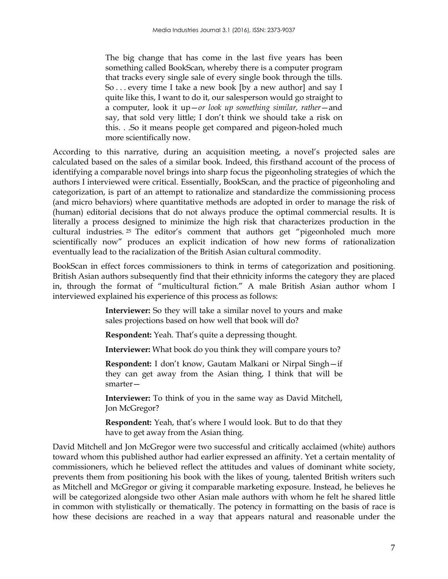The big change that has come in the last five years has been something called BookScan, whereby there is a computer program that tracks every single sale of every single book through the tills. So . . . every time I take a new book [by a new author] and say I quite like this, I want to do it, our salesperson would go straight to a computer, look it up—*or look up something similar, rather*—and say, that sold very little; I don't think we should take a risk on this. . .So it means people get compared and pigeon-holed much more scientifically now.

According to this narrative, during an acquisition meeting, a novel's projected sales are calculated based on the sales of a similar book. Indeed, this firsthand account of the process of identifying a comparable novel brings into sharp focus the pigeonholing strategies of which the authors I interviewed were critical. Essentially, BookScan, and the practice of pigeonholing and categorization, is part of an attempt to rationalize and standardize the commissioning process (and micro behaviors) where quantitative methods are adopted in order to manage the risk of (human) editorial decisions that do not always produce the optimal commercial results. It is literally a process designed to minimize the high risk that characterizes production in the cultural industries. <sup>25</sup> The editor's comment that authors get "pigeonholed much more scientifically now" produces an explicit indication of how new forms of rationalization eventually lead to the racialization of the British Asian cultural commodity.

BookScan in effect forces commissioners to think in terms of categorization and positioning. British Asian authors subsequently find that their ethnicity informs the category they are placed in, through the format of "multicultural fiction." A male British Asian author whom I interviewed explained his experience of this process as follows:

> **Interviewer:** So they will take a similar novel to yours and make sales projections based on how well that book will do?

**Respondent:** Yeah. That's quite a depressing thought.

**Interviewer:** What book do you think they will compare yours to?

**Respondent:** I don't know, Gautam Malkani or Nirpal Singh—if they can get away from the Asian thing, I think that will be smarter—

**Interviewer:** To think of you in the same way as David Mitchell, Jon McGregor?

**Respondent:** Yeah, that's where I would look. But to do that they have to get away from the Asian thing.

David Mitchell and Jon McGregor were two successful and critically acclaimed (white) authors toward whom this published author had earlier expressed an affinity. Yet a certain mentality of commissioners, which he believed reflect the attitudes and values of dominant white society, prevents them from positioning his book with the likes of young, talented British writers such as Mitchell and McGregor or giving it comparable marketing exposure. Instead, he believes he will be categorized alongside two other Asian male authors with whom he felt he shared little in common with stylistically or thematically. The potency in formatting on the basis of race is how these decisions are reached in a way that appears natural and reasonable under the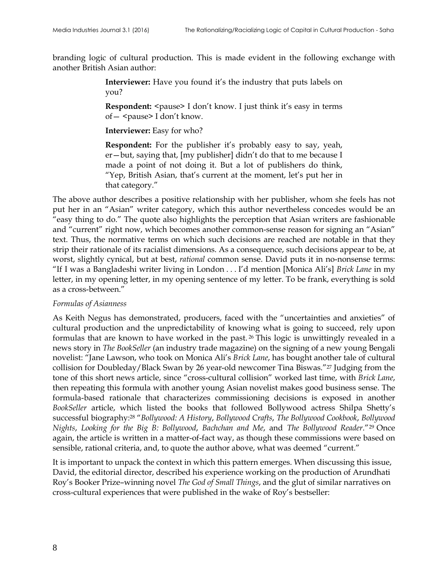branding logic of cultural production. This is made evident in the following exchange with another British Asian author:

> **Interviewer:** Have you found it's the industry that puts labels on you?

> **Respondent:**  $\langle$  pause> I don't know. I just think it's easy in terms of - <pause> I don't know.

**Interviewer:** Easy for who?

**Respondent:** For the publisher it's probably easy to say, yeah, er—but, saying that, [my publisher] didn't do that to me because I made a point of not doing it. But a lot of publishers do think, "Yep, British Asian, that's current at the moment, let's put her in that category."

The above author describes a positive relationship with her publisher, whom she feels has not put her in an "Asian" writer category, which this author nevertheless concedes would be an "easy thing to do." The quote also highlights the perception that Asian writers are fashionable and "current" right now, which becomes another common-sense reason for signing an "Asian" text. Thus, the normative terms on which such decisions are reached are notable in that they strip their rationale of its racialist dimensions. As a consequence, such decisions appear to be, at worst, slightly cynical, but at best, *rational* common sense. David puts it in no-nonsense terms: "If I was a Bangladeshi writer living in London . . . I'd mention [Monica Ali's] *Brick Lane* in my letter, in my opening letter, in my opening sentence of my letter. To be frank, everything is sold as a cross-between."

#### *Formulas of Asianness*

As Keith Negus has demonstrated, producers, faced with the "uncertainties and anxieties" of cultural production and the unpredictability of knowing what is going to succeed, rely upon formulas that are known to have worked in the past. <sup>26</sup> This logic is unwittingly revealed in a news story in *The BookSeller* (an industry trade magazine) on the signing of a new young Bengali novelist: "Jane Lawson, who took on Monica Ali's *Brick Lane*, has bought another tale of cultural collision for Doubleday/Black Swan by 26 year-old newcomer Tina Biswas."<sup>27</sup> Judging from the tone of this short news article, since "cross-cultural collision" worked last time, with *Brick Lane*, then repeating this formula with another young Asian novelist makes good business sense. The formula-based rationale that characterizes commissioning decisions is exposed in another *BookSeller* article, which listed the books that followed Bollywood actress Shilpa Shetty's successful biography:<sup>28</sup> "*Bollywood: A History*, *Bollywood Crafts*, *The Bollywood Cookbook*, *Bollywood Nights*, *Looking for the Big B: Bollywood*, *Bachchan and Me*, and *The Bollywood Reader*."<sup>29</sup> Once again, the article is written in a matter-of-fact way, as though these commissions were based on sensible, rational criteria, and, to quote the author above, what was deemed "current."

It is important to unpack the context in which this pattern emerges. When discussing this issue, David, the editorial director, described his experience working on the production of Arundhati Roy's Booker Prize–winning novel *The God of Small Things*, and the glut of similar narratives on cross-cultural experiences that were published in the wake of Roy's bestseller: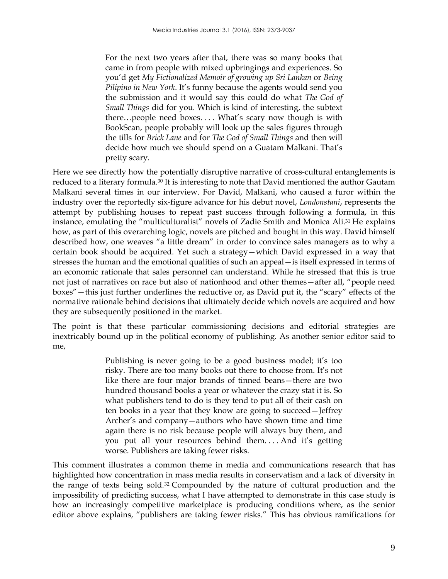For the next two years after that, there was so many books that came in from people with mixed upbringings and experiences. So you'd get *My Fictionalized Memoir of growing up Sri Lankan* or *Being Pilipino in New York*. It's funny because the agents would send you the submission and it would say this could do what *The God of Small Things* did for you. Which is kind of interesting, the subtext there…people need boxes. . . . What's scary now though is with BookScan, people probably will look up the sales figures through the tills for *Brick Lane* and for *The God of Small Things* and then will decide how much we should spend on a Guatam Malkani. That's pretty scary.

Here we see directly how the potentially disruptive narrative of cross-cultural entanglements is reduced to a literary formula.<sup>30</sup> It is interesting to note that David mentioned the author Gautam Malkani several times in our interview. For David, Malkani, who caused a furor within the industry over the reportedly six-figure advance for his debut novel, *Londonstani*, represents the attempt by publishing houses to repeat past success through following a formula, in this instance, emulating the "multiculturalist" novels of Zadie Smith and Monica Ali.<sup>31</sup> He explains how, as part of this overarching logic, novels are pitched and bought in this way. David himself described how, one weaves "a little dream" in order to convince sales managers as to why a certain book should be acquired. Yet such a strategy—which David expressed in a way that stresses the human and the emotional qualities of such an appeal—is itself expressed in terms of an economic rationale that sales personnel can understand. While he stressed that this is true not just of narratives on race but also of nationhood and other themes—after all, "people need boxes"—this just further underlines the reductive or, as David put it, the "scary" effects of the normative rationale behind decisions that ultimately decide which novels are acquired and how they are subsequently positioned in the market.

The point is that these particular commissioning decisions and editorial strategies are inextricably bound up in the political economy of publishing. As another senior editor said to me,

> Publishing is never going to be a good business model; it's too risky. There are too many books out there to choose from. It's not like there are four major brands of tinned beans—there are two hundred thousand books a year or whatever the crazy stat it is. So what publishers tend to do is they tend to put all of their cash on ten books in a year that they know are going to succeed—Jeffrey Archer's and company—authors who have shown time and time again there is no risk because people will always buy them, and you put all your resources behind them. . . . And it's getting worse. Publishers are taking fewer risks.

This comment illustrates a common theme in media and communications research that has highlighted how concentration in mass media results in conservatism and a lack of diversity in the range of texts being sold.<sup>32</sup> Compounded by the nature of cultural production and the impossibility of predicting success, what I have attempted to demonstrate in this case study is how an increasingly competitive marketplace is producing conditions where, as the senior editor above explains, "publishers are taking fewer risks." This has obvious ramifications for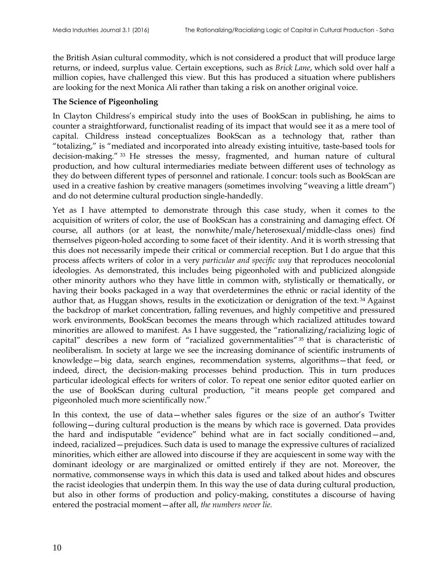the British Asian cultural commodity, which is not considered a product that will produce large returns, or indeed, surplus value. Certain exceptions, such as *Brick Lane*, which sold over half a million copies, have challenged this view. But this has produced a situation where publishers are looking for the next Monica Ali rather than taking a risk on another original voice.

#### **The Science of Pigeonholing**

In Clayton Childress's empirical study into the uses of BookScan in publishing, he aims to counter a straightforward, functionalist reading of its impact that would see it as a mere tool of capital. Childress instead conceptualizes BookScan as a technology that, rather than "totalizing," is "mediated and incorporated into already existing intuitive, taste-based tools for decision-making." <sup>33</sup> He stresses the messy, fragmented, and human nature of cultural production, and how cultural intermediaries mediate between different uses of technology as they do between different types of personnel and rationale. I concur: tools such as BookScan are used in a creative fashion by creative managers (sometimes involving "weaving a little dream") and do not determine cultural production single-handedly.

Yet as I have attempted to demonstrate through this case study, when it comes to the acquisition of writers of color, the use of BookScan has a constraining and damaging effect. Of course, all authors (or at least, the nonwhite/male/heterosexual/middle-class ones) find themselves pigeon-holed according to some facet of their identity. And it is worth stressing that this does not necessarily impede their critical or commercial reception. But I do argue that this process affects writers of color in a very *particular and specific way* that reproduces neocolonial ideologies. As demonstrated, this includes being pigeonholed with and publicized alongside other minority authors who they have little in common with, stylistically or thematically, or having their books packaged in a way that overdetermines the ethnic or racial identity of the author that, as Huggan shows, results in the exoticization or denigration of the text. <sup>34</sup> Against the backdrop of market concentration, falling revenues, and highly competitive and pressured work environments, BookScan becomes the means through which racialized attitudes toward minorities are allowed to manifest. As I have suggested, the "rationalizing/racializing logic of capital" describes a new form of "racialized governmentalities" <sup>35</sup> that is characteristic of neoliberalism. In society at large we see the increasing dominance of scientific instruments of knowledge—big data, search engines, recommendation systems, algorithms—that feed, or indeed, direct, the decision-making processes behind production. This in turn produces particular ideological effects for writers of color. To repeat one senior editor quoted earlier on the use of BookScan during cultural production, "it means people get compared and pigeonholed much more scientifically now."

In this context, the use of data—whether sales figures or the size of an author's Twitter following—during cultural production is the means by which race is governed. Data provides the hard and indisputable "evidence" behind what are in fact socially conditioned—and, indeed, racialized—prejudices. Such data is used to manage the expressive cultures of racialized minorities, which either are allowed into discourse if they are acquiescent in some way with the dominant ideology or are marginalized or omitted entirely if they are not. Moreover, the normative, commonsense ways in which this data is used and talked about hides and obscures the racist ideologies that underpin them. In this way the use of data during cultural production, but also in other forms of production and policy-making, constitutes a discourse of having entered the postracial moment—after all, *the numbers never lie.*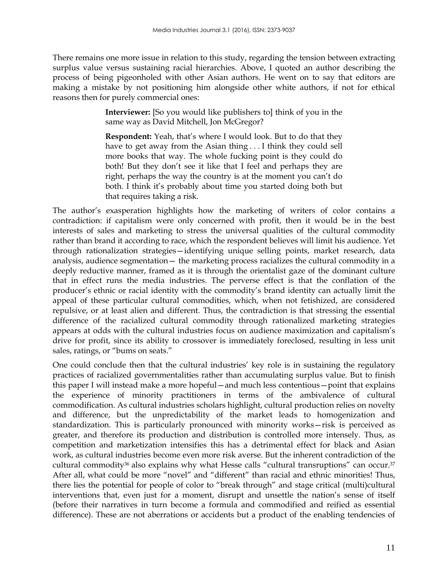There remains one more issue in relation to this study, regarding the tension between extracting surplus value versus sustaining racial hierarchies. Above, I quoted an author describing the process of being pigeonholed with other Asian authors. He went on to say that editors are making a mistake by not positioning him alongside other white authors, if not for ethical reasons then for purely commercial ones:

> **Interviewer:** [So you would like publishers to] think of you in the same way as David Mitchell, Jon McGregor?

> **Respondent:** Yeah, that's where I would look. But to do that they have to get away from the Asian thing . . . I think they could sell more books that way. The whole fucking point is they could do both! But they don't see it like that I feel and perhaps they are right, perhaps the way the country is at the moment you can't do both. I think it's probably about time you started doing both but that requires taking a risk.

The author's exasperation highlights how the marketing of writers of color contains a contradiction: if capitalism were only concerned with profit, then it would be in the best interests of sales and marketing to stress the universal qualities of the cultural commodity rather than brand it according to race, which the respondent believes will limit his audience. Yet through rationalization strategies—identifying unique selling points, market research, data analysis, audience segmentation— the marketing process racializes the cultural commodity in a deeply reductive manner, framed as it is through the orientalist gaze of the dominant culture that in effect runs the media industries. The perverse effect is that the conflation of the producer's ethnic or racial identity with the commodity's brand identity can actually limit the appeal of these particular cultural commodities, which, when not fetishized, are considered repulsive, or at least alien and different. Thus, the contradiction is that stressing the essential difference of the racialized cultural commodity through rationalized marketing strategies appears at odds with the cultural industries focus on audience maximization and capitalism's drive for profit, since its ability to crossover is immediately foreclosed, resulting in less unit sales, ratings, or "bums on seats."

One could conclude then that the cultural industries' key role is in sustaining the regulatory practices of racialized governmentalities rather than accumulating surplus value. But to finish this paper I will instead make a more hopeful—and much less contentious—point that explains the experience of minority practitioners in terms of the ambivalence of cultural commodification. As cultural industries scholars highlight, cultural production relies on novelty and difference, but the unpredictability of the market leads to homogenization and standardization. This is particularly pronounced with minority works—risk is perceived as greater, and therefore its production and distribution is controlled more intensely. Thus, as competition and marketization intensifies this has a detrimental effect for black and Asian work, as cultural industries become even more risk averse. But the inherent contradiction of the cultural commodity<sup>36</sup> also explains why what Hesse calls "cultural transruptions" can occur.<sup>37</sup> After all, what could be more "novel" and "different" than racial and ethnic minorities! Thus, there lies the potential for people of color to "break through" and stage critical (multi)cultural interventions that, even just for a moment, disrupt and unsettle the nation's sense of itself (before their narratives in turn become a formula and commodified and reified as essential difference). These are not aberrations or accidents but a product of the enabling tendencies of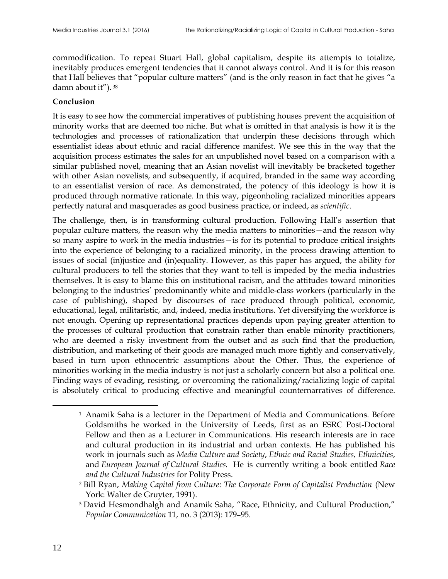commodification. To repeat Stuart Hall, global capitalism, despite its attempts to totalize, inevitably produces emergent tendencies that it cannot always control. And it is for this reason that Hall believes that "popular culture matters" (and is the only reason in fact that he gives "a damn about it"). <sup>38</sup>

#### **Conclusion**

It is easy to see how the commercial imperatives of publishing houses prevent the acquisition of minority works that are deemed too niche. But what is omitted in that analysis is how it is the technologies and processes of rationalization that underpin these decisions through which essentialist ideas about ethnic and racial difference manifest. We see this in the way that the acquisition process estimates the sales for an unpublished novel based on a comparison with a similar published novel, meaning that an Asian novelist will inevitably be bracketed together with other Asian novelists, and subsequently, if acquired, branded in the same way according to an essentialist version of race. As demonstrated, the potency of this ideology is how it is produced through normative rationale. In this way, pigeonholing racialized minorities appears perfectly natural and masquerades as good business practice, or indeed, as *scientific*.

The challenge, then, is in transforming cultural production. Following Hall's assertion that popular culture matters, the reason why the media matters to minorities—and the reason why so many aspire to work in the media industries—is for its potential to produce critical insights into the experience of belonging to a racialized minority, in the process drawing attention to issues of social (in)justice and (in)equality. However, as this paper has argued, the ability for cultural producers to tell the stories that they want to tell is impeded by the media industries themselves. It is easy to blame this on institutional racism, and the attitudes toward minorities belonging to the industries' predominantly white and middle-class workers (particularly in the case of publishing), shaped by discourses of race produced through political, economic, educational, legal, militaristic, and, indeed, media institutions. Yet diversifying the workforce is not enough. Opening up representational practices depends upon paying greater attention to the processes of cultural production that constrain rather than enable minority practitioners, who are deemed a risky investment from the outset and as such find that the production, distribution, and marketing of their goods are managed much more tightly and conservatively, based in turn upon ethnocentric assumptions about the Other. Thus, the experience of minorities working in the media industry is not just a scholarly concern but also a political one. Finding ways of evading, resisting, or overcoming the rationalizing/racializing logic of capital is absolutely critical to producing effective and meaningful counternarratives of difference.

 $\overline{a}$ 

<sup>&</sup>lt;sup>1</sup> Anamik Saha is a lecturer in the Department of Media and Communications. Before Goldsmiths he worked in the University of Leeds, first as an ESRC Post-Doctoral Fellow and then as a Lecturer in Communications. His research interests are in race and cultural production in its industrial and urban contexts. He has published his work in journals such as *Media Culture and Society*, *Ethnic and Racial Studies, Ethnicities*, and *European Journal of Cultural Studies.* He is currently writing a book entitled *Race and the Cultural Industries* for Polity Press.

<sup>2</sup> Bill Ryan, *Making Capital from Culture: The Corporate Form of Capitalist Production* (New York: Walter de Gruyter, 1991).

<sup>&</sup>lt;sup>3</sup> David Hesmondhalgh and Anamik Saha, "Race, Ethnicity, and Cultural Production," *Popular Communication* 11, no. 3 (2013): 179–95.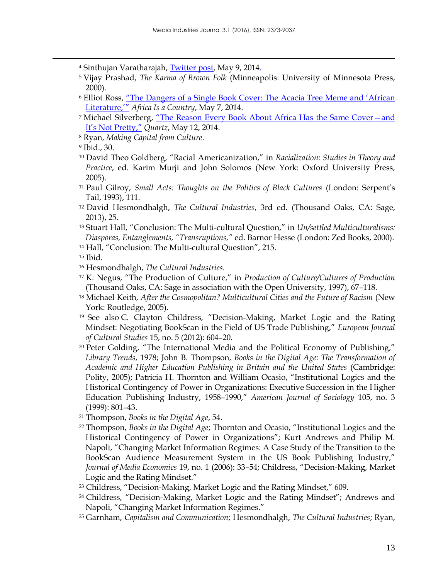- <sup>4</sup> Sinthujan Varatharajah, [Twitter post,](https://twitter.com/varathas/status/464861944194023424) May 9, 2014.
- <sup>5</sup> Vijay Prashad, *The Karma of Brown Folk* (Minneapolis: University of Minnesota Press, 2000).
- <sup>6</sup> Elliot Ross, ["The Dangers of a Single Book Cover: The Acacia Tree Meme and 'African](http://africasacountry.com/the-dangers-of-a-single-book-cover-the-acacia-tree-meme-and-african-literature/)  [Literature,'"](http://africasacountry.com/the-dangers-of-a-single-book-cover-the-acacia-tree-meme-and-african-literature/) *Africa Is a Country*, May 7, 2014.
- <sup>7</sup> Michael Silverberg, "The Reason Every Book About Africa Has the Same Cover-and [It's Not Pretty,"](http://qz.com/207527/the-reason-every-book-about-africa-has-the-same-cover-and-its-not-pretty/) *Quartz*, May 12, 2014.
- <sup>8</sup> Ryan, *Making Capital from Culture*.

 $\overline{a}$ 

- <sup>10</sup> David Theo Goldberg, "Racial Americanization," in *Racialization: Studies in Theory and Practice*, ed. Karim Murji and John Solomos (New York: Oxford University Press, 2005).
- <sup>11</sup> Paul Gilroy, *Small Acts: Thoughts on the Politics of Black Cultures* (London: Serpent's Tail, 1993), 111.
- <sup>12</sup> David Hesmondhalgh, *The Cultural Industries*, 3rd ed. (Thousand Oaks, CA: Sage, 2013), 25.
- <sup>13</sup> Stuart Hall, "Conclusion: The Multi-cultural Question," in *Un/settled Multiculturalisms: Diasporas, Entanglements, "Transruptions,"* ed. Barnor Hesse (London: Zed Books, 2000).
- <sup>14</sup> Hall, "Conclusion: The Multi-cultural Question", 215.
- <sup>15</sup> Ibid.
- <sup>16</sup> Hesmondhalgh, *The Cultural Industries*.
- <sup>17</sup> K. Negus, "The Production of Culture," in *Production of Culture/Cultures of Production* (Thousand Oaks, CA: Sage in association with the Open University, 1997), 67–118.
- <sup>18</sup> Michael Keith, *After the Cosmopolitan? Multicultural Cities and the Future of Racism* (New York: Routledge, 2005).
- <sup>19</sup> See also C. Clayton Childress, "Decision-Making, Market Logic and the Rating Mindset: Negotiating BookScan in the Field of US Trade Publishing," *European Journal of Cultural Studies* 15, no. 5 (2012): 604–20.
- <sup>20</sup> Peter Golding, "The International Media and the Political Economy of Publishing," *Library Trends*, 1978; John B. Thompson, *Books in the Digital Age: The Transformation of Academic and Higher Education Publishing in Britain and the United States* (Cambridge: Polity, 2005); Patricia H. Thornton and William Ocasio, "Institutional Logics and the Historical Contingency of Power in Organizations: Executive Succession in the Higher Education Publishing Industry, 1958–1990," *American Journal of Sociology* 105, no. 3 (1999): 801–43.
- <sup>21</sup> Thompson, *Books in the Digital Age*, 54.
- <sup>22</sup> Thompson, *Books in the Digital Age*; Thornton and Ocasio, "Institutional Logics and the Historical Contingency of Power in Organizations"; Kurt Andrews and Philip M. Napoli, "Changing Market Information Regimes: A Case Study of the Transition to the BookScan Audience Measurement System in the US Book Publishing Industry," *Journal of Media Economics* 19, no. 1 (2006): 33–54; Childress, "Decision-Making, Market Logic and the Rating Mindset."
- <sup>23</sup> Childress, "Decision-Making, Market Logic and the Rating Mindset," 609.
- <sup>24</sup> Childress, "Decision-Making, Market Logic and the Rating Mindset"; Andrews and Napoli, "Changing Market Information Regimes."
- <sup>25</sup> Garnham, *Capitalism and Communication*; Hesmondhalgh, *The Cultural Industries*; Ryan,

<sup>9</sup> Ibid., 30.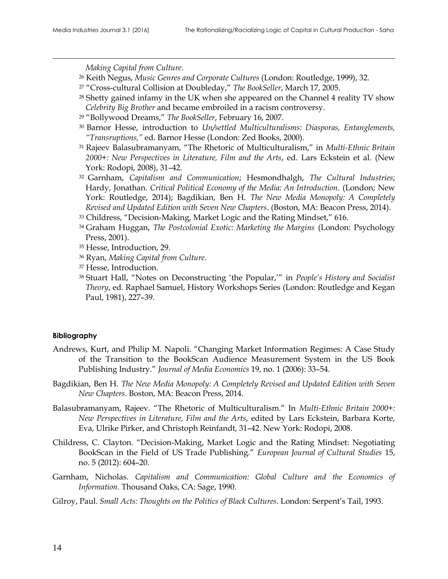$\overline{a}$ 

*Making Capital from Culture*.

- <sup>26</sup> Keith Negus, *Music Genres and Corporate Cultures* (London: Routledge, 1999), 32.
- <sup>27</sup> "Cross-cultural Collision at Doubleday," *The BookSeller*, March 17, 2005.
- <sup>28</sup> Shetty gained infamy in the UK when she appeared on the Channel 4 reality TV show *Celebrity Big Brother* and became embroiled in a racism controversy.
- <sup>29</sup> "Bollywood Dreams," *The BookSeller*, February 16, 2007.
- <sup>30</sup> Barnor Hesse, introduction to *Un/settled Multiculturalisms: Diasporas, Entanglements, "Transruptions,"* ed. Barnor Hesse (London: Zed Books, 2000).
- <sup>31</sup> Rajeev Balasubramanyam, "The Rhetoric of Multiculturalism," in *Multi-Ethnic Britain 2000+: New Perspectives in Literature, Film and the Arts*, ed. Lars Eckstein et al. (New York: Rodopi, 2008), 31–42.
- <sup>32</sup> Garnham, *Capitalism and Communication*; Hesmondhalgh, *The Cultural Industries*; Hardy, Jonathan. *Critical Political Economy of the Media: An Introduction*. (London; New York: Routledge, 2014); Bagdikian, Ben H. *The New Media Monopoly: A Completely Revised and Updated Edition with Seven New Chapters*. (Boston, MA: Beacon Press, 2014).
- 33 Childress, "Decision-Making, Market Logic and the Rating Mindset," 616.
- <sup>34</sup> Graham Huggan, *The Postcolonial Exotic: Marketing the Margins* (London: Psychology Press, 2001).
- <sup>35</sup> Hesse, Introduction, 29.
- <sup>36</sup> Ryan, *Making Capital from Culture*.
- <sup>37</sup> Hesse, Introduction.
- <sup>38</sup> Stuart Hall, "Notes on Deconstructing 'the Popular,'" in *People's History and Socialist Theory*, ed. Raphael Samuel, History Workshops Series (London: Routledge and Kegan Paul, 1981), 227–39.

#### **Bibliography** 1

- Andrews, Kurt, and Philip M. Napoli. "Changing Market Information Regimes: A Case Study 2 of the Transition to the BookScan Audience Measurement System in the US Book 3 Publishing Industry." *Journal of Media Economics* 19, no. 1 (2006): 33–54. 4
- Bagdikian, Ben H. *The New Media Monopoly: A Completely Revised and Updated Edition with Seven* 5 *New Chapters. Boston, MA: Beacon Press, 2014.*
- Balasubramanyam, Rajeev. "The Rhetoric of Multiculturalism." In *Multi-Ethnic Britain 2000+:* 7 *New Perspectives in Literature, Film and the Arts*, edited by Lars Eckstein, Barbara Korte, 8 Eva, Ulrike Pirker, and Christoph Reinfandt, 31–42. New York: Rodopi, 2008. 9
- Childress, C. Clayton. "Decision-Making, Market Logic and the Rating Mindset: Negotiating 10 BookScan in the Field of US Trade Publishing." *European Journal of Cultural Studies* 15, 11 no. 5 (2012): 604–20.
- Garnham, Nicholas. *Capitalism and Communication: Global Culture and the Economics of Information*. Thousand Oaks, CA: Sage, 1990.
- Gilroy, Paul. *Small Acts: Thoughts on the Politics of Black Cultures*. London: Serpent's Tail, 1993. 15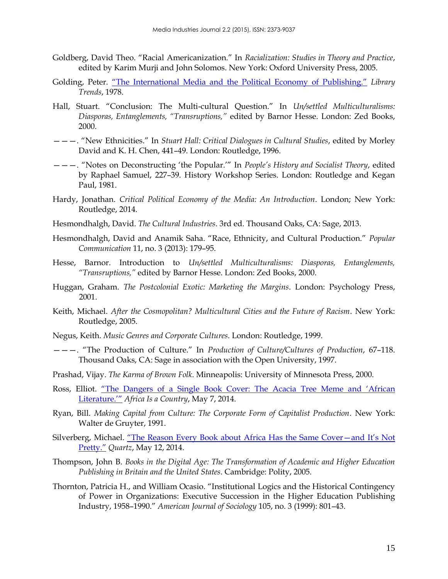- Goldberg, David Theo. "Racial Americanization." In *Racialization: Studies in Theory and Practice*, 16 edited by Karim Murji and John Solomos. New York: Oxford University Press, 2005.
- Golding, Peter. ["The International Media and the Political Economy of Publishing."](http://eric.ed.gov/?id=EJ179554) Library *Trends*, 1978.
- Hall, Stuart. "Conclusion: The Multi-cultural Question." In *Un/settled Multiculturalisms:* 20 *Diasporas, Entanglements, "Transruptions,"* edited by Barnor Hesse. London: Zed Books, 21 2000. 22
- ———. "New Ethnicities." In *Stuart Hall: Critical Dialogues in Cultural Studies*, edited by Morley 23 David and K. H. Chen, 441-49. London: Routledge, 1996.
- ———. "Notes on Deconstructing 'the Popular.'" In *People's History and Socialist Theory*, edited 25 by Raphael Samuel, 227–39. History Workshop Series. London: Routledge and Kegan 26 Paul, 1981.
- Hardy, Jonathan. *Critical Political Economy of the Media: An Introduction*. London; New York: 28 Routledge, 2014.
- Hesmondhalgh, David. *The Cultural Industries*. 3rd ed. Thousand Oaks, CA: Sage, 2013.
- Hesmondhalgh, David and Anamik Saha. "Race, Ethnicity, and Cultural Production." *Popular* 31 *Communication* 11, no. 3 (2013): 179-95.
- Hesse, Barnor. Introduction to *Un/settled Multiculturalisms: Diasporas*, Entanglements, *"Transruptions,"* edited by Barnor Hesse. London: Zed Books, 2000. 34
- Huggan, Graham. *The Postcolonial Exotic: Marketing the Margins*. London: Psychology Press, 35 2001. 36
- Keith, Michael. *After the Cosmopolitan? Multicultural Cities and the Future of Racism*. New York: 37 Routledge, 2005. 388 and 2005. 388 and 2006 and 2008 and 2008 and 2008. 388 and 2008 and 2008. 388 and 2008 and 2008 and 2008. 388 and 2008 and 2008. 388 and 2008 and 2008 and 2008 and 2008 and 2008 and 2008 and 2008 and 2
- Negus, Keith. *Music Genres and Corporate Cultures*. London: Routledge, 1999. 39
- ———. "The Production of Culture." In *Production of Culture/Cultures of Production*, 67–118. 40 Thousand Oaks, CA: Sage in association with the Open University, 1997. 41
- Prashad, Vijay. *The Karma of Brown Folk*. Minneapolis: University of Minnesota Press, 2000. 42
- Ross, Elliot. "The Dangers of a Single Book Cover: The Acacia Tree Meme and 'African [Literature.'"](http://africasacountry.com/the-dangers-of-a-single-book-cover-the-acacia-tree-meme-and-african-literature/) *Africa Is a Country*, May 7, 2014.
- Ryan, Bill. *Making Capital from Culture: The Corporate Form of Capitalist Production*. New York: 45 Walter de Gruyter, 1991. 46
- Silverberg, Michael. "The Reason Every Book about Africa Has the Same Cover-and It's Not [Pretty."](http://qz.com/207527/the-reason-every-book-about-africa-has-the-same-cover-and-its-not-pretty/) *Quartz*, May 12, 2014. 48
- Thompson, John B. *Books in the Digital Age: The Transformation of Academic and Higher Education* 49 Publishing in Britain and the United States. Cambridge: Polity, 2005.
- Thornton, Patricia H., and William Ocasio. "Institutional Logics and the Historical Contingency 51 of Power in Organizations: Executive Succession in the Higher Education Publishing 52 Industry, 1958–1990." *American Journal of Sociology* 105, no. 3 (1999): 801–43. 53